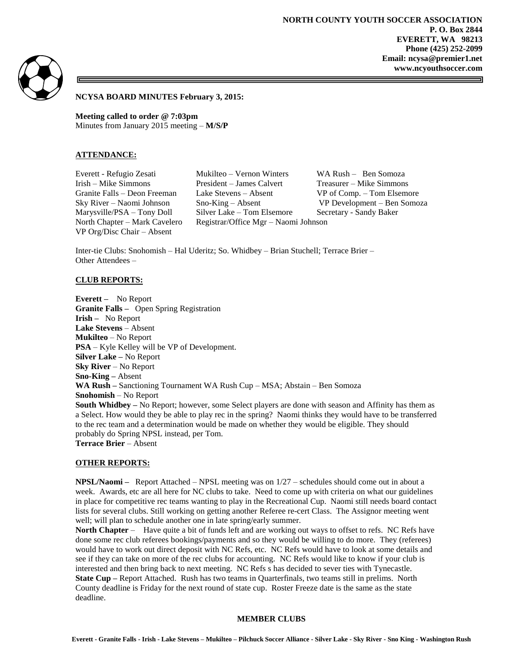**NORTH COUNTY YOUTH SOCCER ASSOCIATION P. O. Box 2844 EVERETT, WA 98213 Phone (425) 252-2099 Email: ncysa@premier1.net www.ncyouthsoccer.com**



**NCYSA BOARD MINUTES February 3, 2015:** 

**Meeting called to order @ 7:03pm** Minutes from January 2015 meeting – **M/S/P**

## **ATTENDANCE:**

VP Org/Disc Chair – Absent

Everett - Refugio Zesati Mukilteo – Vernon Winters WA Rush – Ben Somoza Irish – Mike Simmons President – James Calvert Treasurer – Mike Simmons Granite Falls – Deon Freeman Lake Stevens – Absent VP of Comp. – Tom Elsemore Sky River – Naomi Johnson Sno-King – Absent VP Development – Ben Somoza Marysville/PSA – Tony Doll Silver Lake – Tom Elsemore Secretary - Sandy Baker North Chapter – Mark Cavelero Registrar/Office Mgr – Naomi Johnson

Inter-tie Clubs: Snohomish – Hal Uderitz; So. Whidbey – Brian Stuchell; Terrace Brier – Other Attendees –

### **CLUB REPORTS:**

**Everett –** No Report **Granite Falls –** Open Spring Registration **Irish –** No Report **Lake Stevens** – Absent **Mukilteo** – No Report **PSA** – Kyle Kelley will be VP of Development. **Silver Lake –** No Report **Sky River** – No Report **Sno-King –** Absent **WA Rush –** Sanctioning Tournament WA Rush Cup – MSA; Abstain – Ben Somoza **Snohomish** – No Report **South Whidbey –** No Report; however, some Select players are done with season and Affinity has them as a Select. How would they be able to play rec in the spring? Naomi thinks they would have to be transferred to the rec team and a determination would be made on whether they would be eligible. They should probably do Spring NPSL instead, per Tom. **Terrace Brier** – Absent

### **OTHER REPORTS:**

**NPSL/Naomi –** Report Attached – NPSL meeting was on 1/27 – schedules should come out in about a week. Awards, etc are all here for NC clubs to take. Need to come up with criteria on what our guidelines in place for competitive rec teams wanting to play in the Recreational Cup. Naomi still needs board contact lists for several clubs. Still working on getting another Referee re-cert Class. The Assignor meeting went well; will plan to schedule another one in late spring/early summer.

**North Chapter** – Have quite a bit of funds left and are working out ways to offset to refs. NC Refs have done some rec club referees bookings/payments and so they would be willing to do more. They (referees) would have to work out direct deposit with NC Refs, etc. NC Refs would have to look at some details and see if they can take on more of the rec clubs for accounting. NC Refs would like to know if your club is interested and then bring back to next meeting. NC Refs s has decided to sever ties with Tynecastle. **State Cup –** Report Attached. Rush has two teams in Quarterfinals, two teams still in prelims. North County deadline is Friday for the next round of state cup. Roster Freeze date is the same as the state deadline.

#### **MEMBER CLUBS**